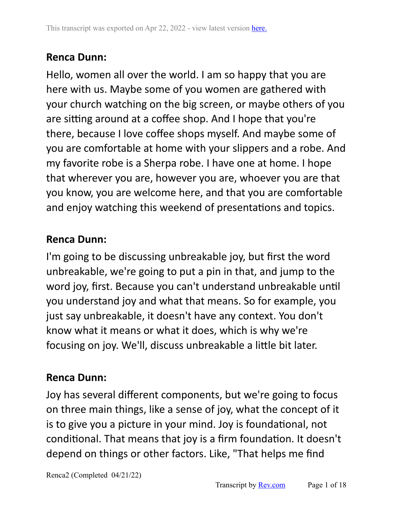Hello, women all over the world. I am so happy that you are here with us. Maybe some of you women are gathered with your church watching on the big screen, or maybe others of you are sitting around at a coffee shop. And I hope that you're there, because I love coffee shops myself. And maybe some of you are comfortable at home with your slippers and a robe. And my favorite robe is a Sherpa robe. I have one at home. I hope that wherever you are, however you are, whoever you are that you know, you are welcome here, and that you are comfortable and enjoy watching this weekend of presentations and topics.

### **Renca Dunn:**

I'm going to be discussing unbreakable joy, but first the word unbreakable, we're going to put a pin in that, and jump to the word joy, first. Because you can't understand unbreakable until you understand joy and what that means. So for example, you just say unbreakable, it doesn't have any context. You don't know what it means or what it does, which is why we're focusing on joy. We'll, discuss unbreakable a little bit later.

# **Renca Dunn:**

Joy has several different components, but we're going to focus on three main things, like a sense of joy, what the concept of it is to give you a picture in your mind. Joy is foundational, not conditional. That means that joy is a firm foundation. It doesn't depend on things or other factors. Like, "That helps me find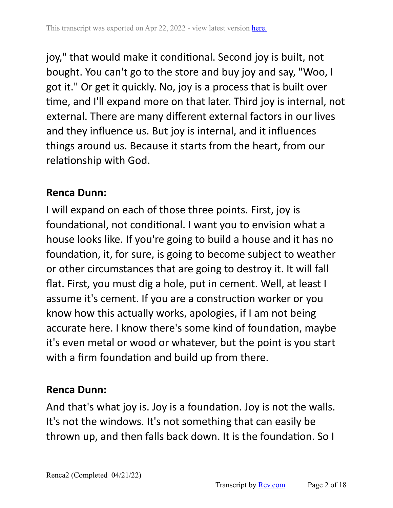joy," that would make it conditional. Second joy is built, not bought. You can't go to the store and buy joy and say, "Woo, I got it." Or get it quickly. No, joy is a process that is built over time, and I'll expand more on that later. Third joy is internal, not external. There are many different external factors in our lives and they influence us. But joy is internal, and it influences things around us. Because it starts from the heart, from our relationship with God.

### **Renca Dunn:**

I will expand on each of those three points. First, joy is foundational, not conditional. I want you to envision what a house looks like. If you're going to build a house and it has no foundation, it, for sure, is going to become subject to weather or other circumstances that are going to destroy it. It will fall flat. First, you must dig a hole, put in cement. Well, at least I assume it's cement. If you are a construction worker or you know how this actually works, apologies, if I am not being accurate here. I know there's some kind of foundation, maybe it's even metal or wood or whatever, but the point is you start with a firm foundation and build up from there.

# **Renca Dunn:**

And that's what joy is. Joy is a foundation. Joy is not the walls. It's not the windows. It's not something that can easily be thrown up, and then falls back down. It is the foundation. So I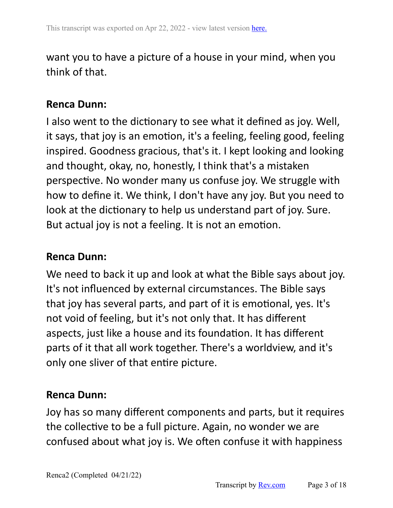want you to have a picture of a house in your mind, when you think of that.

#### **Renca Dunn:**

I also went to the dictionary to see what it defined as joy. Well, it says, that joy is an emotion, it's a feeling, feeling good, feeling inspired. Goodness gracious, that's it. I kept looking and looking and thought, okay, no, honestly, I think that's a mistaken perspective. No wonder many us confuse joy. We struggle with how to define it. We think, I don't have any joy. But you need to look at the dictionary to help us understand part of joy. Sure. But actual joy is not a feeling. It is not an emotion.

### **Renca Dunn:**

We need to back it up and look at what the Bible says about joy. It's not influenced by external circumstances. The Bible says that joy has several parts, and part of it is emotional, yes. It's not void of feeling, but it's not only that. It has different aspects, just like a house and its foundation. It has different parts of it that all work together. There's a worldview, and it's only one sliver of that entire picture.

#### **Renca Dunn:**

Joy has so many different components and parts, but it requires the collective to be a full picture. Again, no wonder we are confused about what joy is. We often confuse it with happiness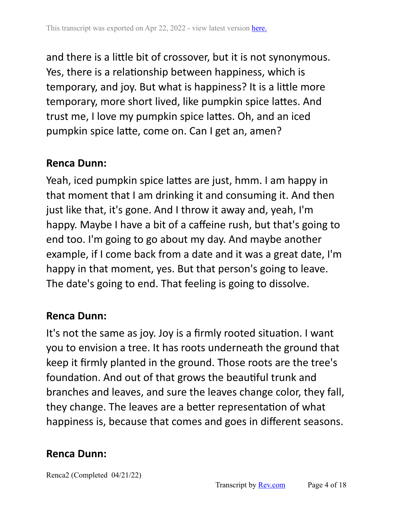and there is a little bit of crossover, but it is not synonymous. Yes, there is a relationship between happiness, which is temporary, and joy. But what is happiness? It is a little more temporary, more short lived, like pumpkin spice lattes. And trust me, I love my pumpkin spice lattes. Oh, and an iced pumpkin spice latte, come on. Can I get an, amen?

#### **Renca Dunn:**

Yeah, iced pumpkin spice lattes are just, hmm. I am happy in that moment that I am drinking it and consuming it. And then just like that, it's gone. And I throw it away and, yeah, I'm happy. Maybe I have a bit of a caffeine rush, but that's going to end too. I'm going to go about my day. And maybe another example, if I come back from a date and it was a great date, I'm happy in that moment, yes. But that person's going to leave. The date's going to end. That feeling is going to dissolve.

# **Renca Dunn:**

It's not the same as joy. Joy is a firmly rooted situation. I want you to envision a tree. It has roots underneath the ground that keep it firmly planted in the ground. Those roots are the tree's foundation. And out of that grows the beautiful trunk and branches and leaves, and sure the leaves change color, they fall, they change. The leaves are a better representation of what happiness is, because that comes and goes in different seasons.

### **Renca Dunn:**

Renca2 (Completed 04/21/22)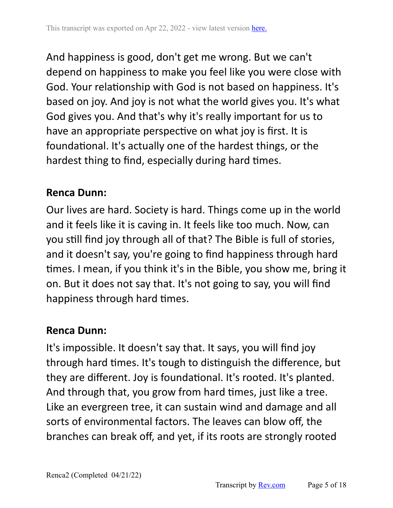And happiness is good, don't get me wrong. But we can't depend on happiness to make you feel like you were close with God. Your relationship with God is not based on happiness. It's based on joy. And joy is not what the world gives you. It's what God gives you. And that's why it's really important for us to have an appropriate perspective on what joy is first. It is foundational. It's actually one of the hardest things, or the hardest thing to find, especially during hard times.

#### **Renca Dunn:**

Our lives are hard. Society is hard. Things come up in the world and it feels like it is caving in. It feels like too much. Now, can you still find joy through all of that? The Bible is full of stories, and it doesn't say, you're going to find happiness through hard times. I mean, if you think it's in the Bible, you show me, bring it on. But it does not say that. It's not going to say, you will find happiness through hard times.

### **Renca Dunn:**

It's impossible. It doesn't say that. It says, you will find joy through hard times. It's tough to distinguish the difference, but they are different. Joy is foundational. It's rooted. It's planted. And through that, you grow from hard times, just like a tree. Like an evergreen tree, it can sustain wind and damage and all sorts of environmental factors. The leaves can blow off, the branches can break off, and yet, if its roots are strongly rooted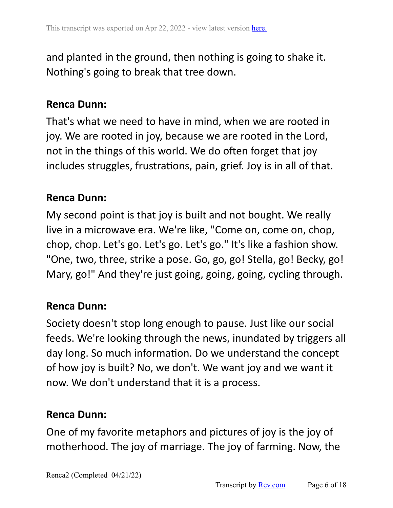and planted in the ground, then nothing is going to shake it. Nothing's going to break that tree down.

#### **Renca Dunn:**

That's what we need to have in mind, when we are rooted in joy. We are rooted in joy, because we are rooted in the Lord, not in the things of this world. We do often forget that joy includes struggles, frustrations, pain, grief. Joy is in all of that.

### **Renca Dunn:**

My second point is that joy is built and not bought. We really live in a microwave era. We're like, "Come on, come on, chop, chop, chop. Let's go. Let's go. Let's go." It's like a fashion show. "One, two, three, strike a pose. Go, go, go! Stella, go! Becky, go! Mary, go!" And they're just going, going, going, cycling through.

### **Renca Dunn:**

Society doesn't stop long enough to pause. Just like our social feeds. We're looking through the news, inundated by triggers all day long. So much information. Do we understand the concept of how joy is built? No, we don't. We want joy and we want it now. We don't understand that it is a process.

### **Renca Dunn:**

One of my favorite metaphors and pictures of joy is the joy of motherhood. The joy of marriage. The joy of farming. Now, the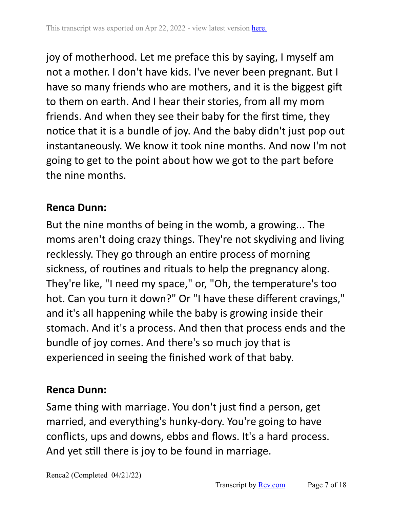joy of motherhood. Let me preface this by saying, I myself am not a mother. I don't have kids. I've never been pregnant. But I have so many friends who are mothers, and it is the biggest gift to them on earth. And I hear their stories, from all my mom friends. And when they see their baby for the first time, they notice that it is a bundle of joy. And the baby didn't just pop out instantaneously. We know it took nine months. And now I'm not going to get to the point about how we got to the part before the nine months.

### **Renca Dunn:**

But the nine months of being in the womb, a growing... The moms aren't doing crazy things. They're not skydiving and living recklessly. They go through an entire process of morning sickness, of routines and rituals to help the pregnancy along. They're like, "I need my space," or, "Oh, the temperature's too hot. Can you turn it down?" Or "I have these different cravings," and it's all happening while the baby is growing inside their stomach. And it's a process. And then that process ends and the bundle of joy comes. And there's so much joy that is experienced in seeing the finished work of that baby.

# **Renca Dunn:**

Same thing with marriage. You don't just find a person, get married, and everything's hunky-dory. You're going to have conflicts, ups and downs, ebbs and flows. It's a hard process. And yet still there is joy to be found in marriage.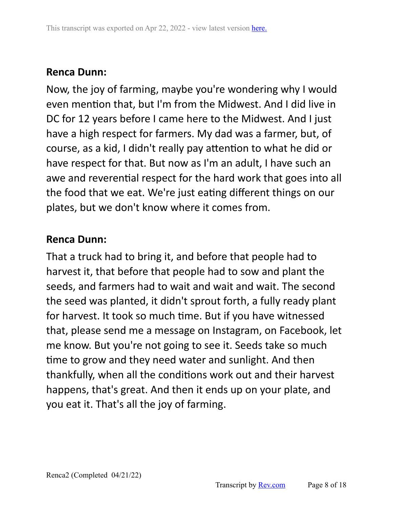Now, the joy of farming, maybe you're wondering why I would even mention that, but I'm from the Midwest. And I did live in DC for 12 years before I came here to the Midwest. And I just have a high respect for farmers. My dad was a farmer, but, of course, as a kid, I didn't really pay attention to what he did or have respect for that. But now as I'm an adult, I have such an awe and reverential respect for the hard work that goes into all the food that we eat. We're just eating different things on our plates, but we don't know where it comes from.

### **Renca Dunn:**

That a truck had to bring it, and before that people had to harvest it, that before that people had to sow and plant the seeds, and farmers had to wait and wait and wait. The second the seed was planted, it didn't sprout forth, a fully ready plant for harvest. It took so much time. But if you have witnessed that, please send me a message on Instagram, on Facebook, let me know. But you're not going to see it. Seeds take so much time to grow and they need water and sunlight. And then thankfully, when all the conditions work out and their harvest happens, that's great. And then it ends up on your plate, and you eat it. That's all the joy of farming.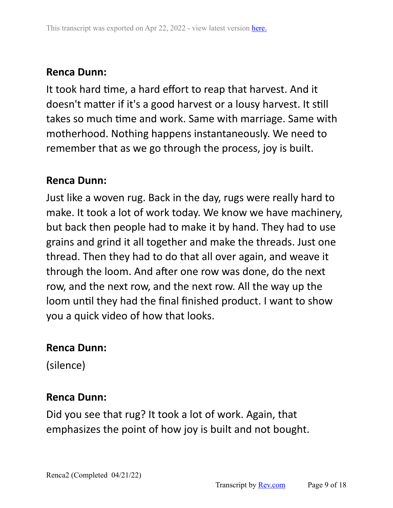It took hard time, a hard effort to reap that harvest. And it doesn't matter if it's a good harvest or a lousy harvest. It still takes so much time and work. Same with marriage. Same with motherhood. Nothing happens instantaneously. We need to remember that as we go through the process, joy is built.

### **Renca Dunn:**

Just like a woven rug. Back in the day, rugs were really hard to make. It took a lot of work today. We know we have machinery, but back then people had to make it by hand. They had to use grains and grind it all together and make the threads. Just one thread. Then they had to do that all over again, and weave it through the loom. And after one row was done, do the next row, and the next row, and the next row. All the way up the loom until they had the final finished product. I want to show you a quick video of how that looks.

### **Renca Dunn:**

(silence)

### **Renca Dunn:**

Did you see that rug? It took a lot of work. Again, that emphasizes the point of how joy is built and not bought.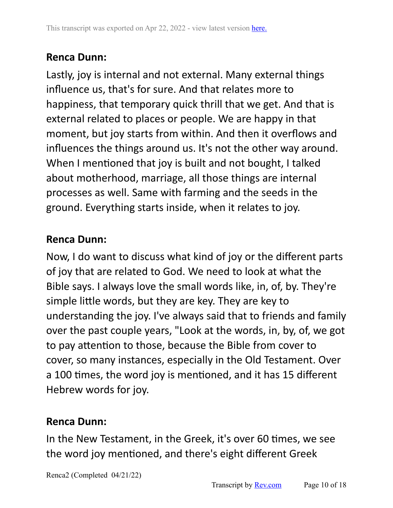Lastly, joy is internal and not external. Many external things influence us, that's for sure. And that relates more to happiness, that temporary quick thrill that we get. And that is external related to places or people. We are happy in that moment, but joy starts from within. And then it overflows and influences the things around us. It's not the other way around. When I mentioned that joy is built and not bought, I talked about motherhood, marriage, all those things are internal processes as well. Same with farming and the seeds in the ground. Everything starts inside, when it relates to joy.

### **Renca Dunn:**

Now, I do want to discuss what kind of joy or the different parts of joy that are related to God. We need to look at what the Bible says. I always love the small words like, in, of, by. They're simple little words, but they are key. They are key to understanding the joy. I've always said that to friends and family over the past couple years, "Look at the words, in, by, of, we got to pay attention to those, because the Bible from cover to cover, so many instances, especially in the Old Testament. Over a 100 times, the word joy is mentioned, and it has 15 different Hebrew words for joy.

# **Renca Dunn:**

In the New Testament, in the Greek, it's over 60 times, we see the word joy mentioned, and there's eight different Greek

Renca2 (Completed 04/21/22)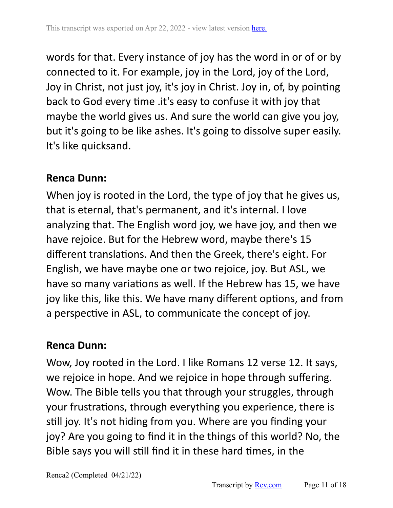words for that. Every instance of joy has the word in or of or by connected to it. For example, joy in the Lord, joy of the Lord, Joy in Christ, not just joy, it's joy in Christ. Joy in, of, by pointing back to God every time .it's easy to confuse it with joy that maybe the world gives us. And sure the world can give you joy, but it's going to be like ashes. It's going to dissolve super easily. It's like quicksand.

### **Renca Dunn:**

When joy is rooted in the Lord, the type of joy that he gives us, that is eternal, that's permanent, and it's internal. I love analyzing that. The English word joy, we have joy, and then we have rejoice. But for the Hebrew word, maybe there's 15 different translations. And then the Greek, there's eight. For English, we have maybe one or two rejoice, joy. But ASL, we have so many variations as well. If the Hebrew has 15, we have joy like this, like this. We have many different options, and from a perspective in ASL, to communicate the concept of joy.

# **Renca Dunn:**

Wow, Joy rooted in the Lord. I like Romans 12 verse 12. It says, we rejoice in hope. And we rejoice in hope through suffering. Wow. The Bible tells you that through your struggles, through your frustrations, through everything you experience, there is still joy. It's not hiding from you. Where are you finding your joy? Are you going to find it in the things of this world? No, the Bible says you will still find it in these hard times, in the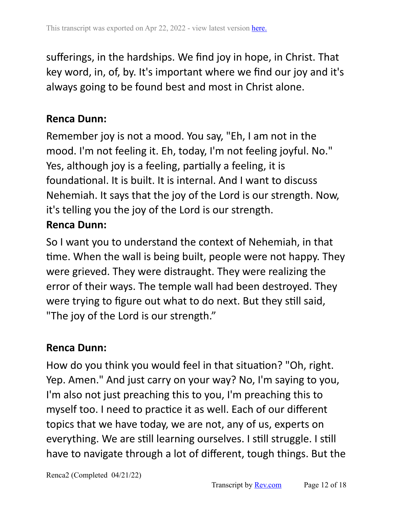sufferings, in the hardships. We find joy in hope, in Christ. That key word, in, of, by. It's important where we find our joy and it's always going to be found best and most in Christ alone.

# **Renca Dunn:**

Remember joy is not a mood. You say, "Eh, I am not in the mood. I'm not feeling it. Eh, today, I'm not feeling joyful. No." Yes, although joy is a feeling, partially a feeling, it is foundational. It is built. It is internal. And I want to discuss Nehemiah. It says that the joy of the Lord is our strength. Now, it's telling you the joy of the Lord is our strength.

### **Renca Dunn:**

So I want you to understand the context of Nehemiah, in that time. When the wall is being built, people were not happy. They were grieved. They were distraught. They were realizing the error of their ways. The temple wall had been destroyed. They were trying to figure out what to do next. But they still said, "The joy of the Lord is our strength."

# **Renca Dunn:**

How do you think you would feel in that situation? "Oh, right. Yep. Amen." And just carry on your way? No, I'm saying to you, I'm also not just preaching this to you, I'm preaching this to myself too. I need to practice it as well. Each of our different topics that we have today, we are not, any of us, experts on everything. We are still learning ourselves. I still struggle. I still have to navigate through a lot of different, tough things. But the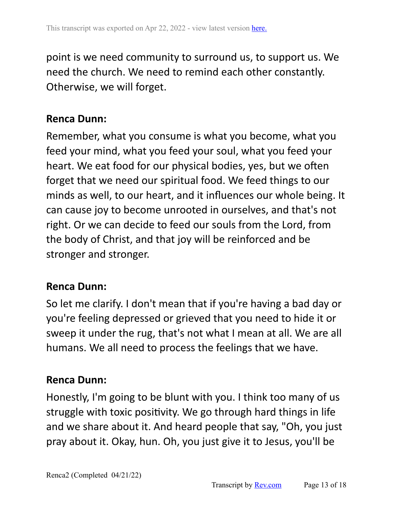point is we need community to surround us, to support us. We need the church. We need to remind each other constantly. Otherwise, we will forget.

#### **Renca Dunn:**

Remember, what you consume is what you become, what you feed your mind, what you feed your soul, what you feed your heart. We eat food for our physical bodies, yes, but we often forget that we need our spiritual food. We feed things to our minds as well, to our heart, and it influences our whole being. It can cause joy to become unrooted in ourselves, and that's not right. Or we can decide to feed our souls from the Lord, from the body of Christ, and that joy will be reinforced and be stronger and stronger.

### **Renca Dunn:**

So let me clarify. I don't mean that if you're having a bad day or you're feeling depressed or grieved that you need to hide it or sweep it under the rug, that's not what I mean at all. We are all humans. We all need to process the feelings that we have.

# **Renca Dunn:**

Honestly, I'm going to be blunt with you. I think too many of us struggle with toxic positivity. We go through hard things in life and we share about it. And heard people that say, "Oh, you just pray about it. Okay, hun. Oh, you just give it to Jesus, you'll be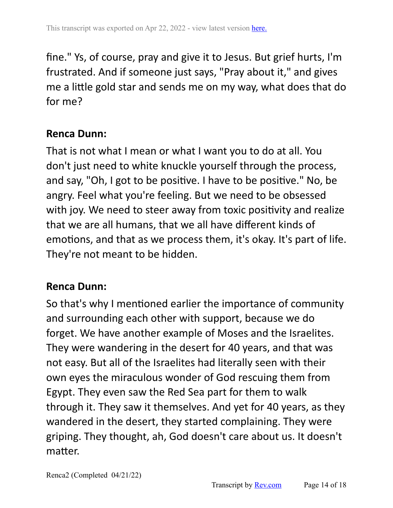fine." Ys, of course, pray and give it to Jesus. But grief hurts, I'm frustrated. And if someone just says, "Pray about it," and gives me a little gold star and sends me on my way, what does that do for me?

### **Renca Dunn:**

That is not what I mean or what I want you to do at all. You don't just need to white knuckle yourself through the process, and say, "Oh, I got to be positive. I have to be positive." No, be angry. Feel what you're feeling. But we need to be obsessed with joy. We need to steer away from toxic positivity and realize that we are all humans, that we all have different kinds of emotions, and that as we process them, it's okay. It's part of life. They're not meant to be hidden.

### **Renca Dunn:**

So that's why I mentioned earlier the importance of community and surrounding each other with support, because we do forget. We have another example of Moses and the Israelites. They were wandering in the desert for 40 years, and that was not easy. But all of the Israelites had literally seen with their own eyes the miraculous wonder of God rescuing them from Egypt. They even saw the Red Sea part for them to walk through it. They saw it themselves. And yet for 40 years, as they wandered in the desert, they started complaining. They were griping. They thought, ah, God doesn't care about us. It doesn't matter.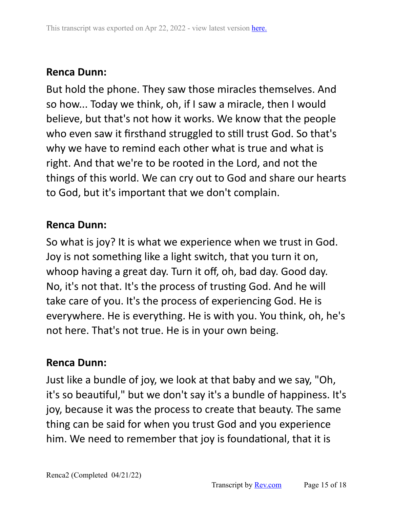But hold the phone. They saw those miracles themselves. And so how... Today we think, oh, if I saw a miracle, then I would believe, but that's not how it works. We know that the people who even saw it firsthand struggled to still trust God. So that's why we have to remind each other what is true and what is right. And that we're to be rooted in the Lord, and not the things of this world. We can cry out to God and share our hearts to God, but it's important that we don't complain.

### **Renca Dunn:**

So what is joy? It is what we experience when we trust in God. Joy is not something like a light switch, that you turn it on, whoop having a great day. Turn it off, oh, bad day. Good day. No, it's not that. It's the process of trusting God. And he will take care of you. It's the process of experiencing God. He is everywhere. He is everything. He is with you. You think, oh, he's not here. That's not true. He is in your own being.

# **Renca Dunn:**

Just like a bundle of joy, we look at that baby and we say, "Oh, it's so beautiful," but we don't say it's a bundle of happiness. It's joy, because it was the process to create that beauty. The same thing can be said for when you trust God and you experience him. We need to remember that joy is foundational, that it is

Renca2 (Completed 04/21/22)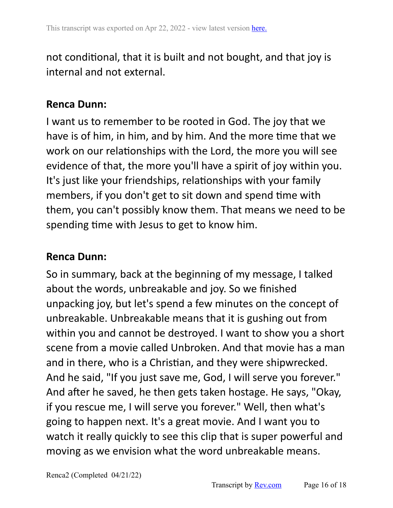not conditional, that it is built and not bought, and that joy is internal and not external.

### **Renca Dunn:**

I want us to remember to be rooted in God. The joy that we have is of him, in him, and by him. And the more time that we work on our relationships with the Lord, the more you will see evidence of that, the more you'll have a spirit of joy within you. It's just like your friendships, relationships with your family members, if you don't get to sit down and spend time with them, you can't possibly know them. That means we need to be spending time with Jesus to get to know him.

### **Renca Dunn:**

So in summary, back at the beginning of my message, I talked about the words, unbreakable and joy. So we finished unpacking joy, but let's spend a few minutes on the concept of unbreakable. Unbreakable means that it is gushing out from within you and cannot be destroyed. I want to show you a short scene from a movie called Unbroken. And that movie has a man and in there, who is a Christian, and they were shipwrecked. And he said, "If you just save me, God, I will serve you forever." And after he saved, he then gets taken hostage. He says, "Okay, if you rescue me, I will serve you forever." Well, then what's going to happen next. It's a great movie. And I want you to watch it really quickly to see this clip that is super powerful and moving as we envision what the word unbreakable means.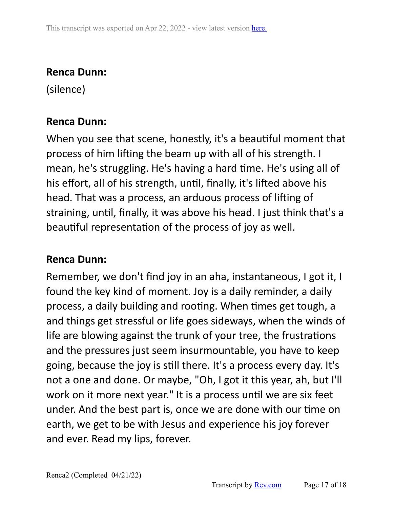(silence)

# **Renca Dunn:**

When you see that scene, honestly, it's a beautiful moment that process of him lifting the beam up with all of his strength. I mean, he's struggling. He's having a hard time. He's using all of his effort, all of his strength, until, finally, it's lifted above his head. That was a process, an arduous process of lifting of straining, until, finally, it was above his head. I just think that's a beautiful representation of the process of joy as well.

### **Renca Dunn:**

Remember, we don't find joy in an aha, instantaneous, I got it, I found the key kind of moment. Joy is a daily reminder, a daily process, a daily building and rooting. When times get tough, a and things get stressful or life goes sideways, when the winds of life are blowing against the trunk of your tree, the frustrations and the pressures just seem insurmountable, you have to keep going, because the joy is still there. It's a process every day. It's not a one and done. Or maybe, "Oh, I got it this year, ah, but I'll work on it more next year." It is a process until we are six feet under. And the best part is, once we are done with our time on earth, we get to be with Jesus and experience his joy forever and ever. Read my lips, forever.